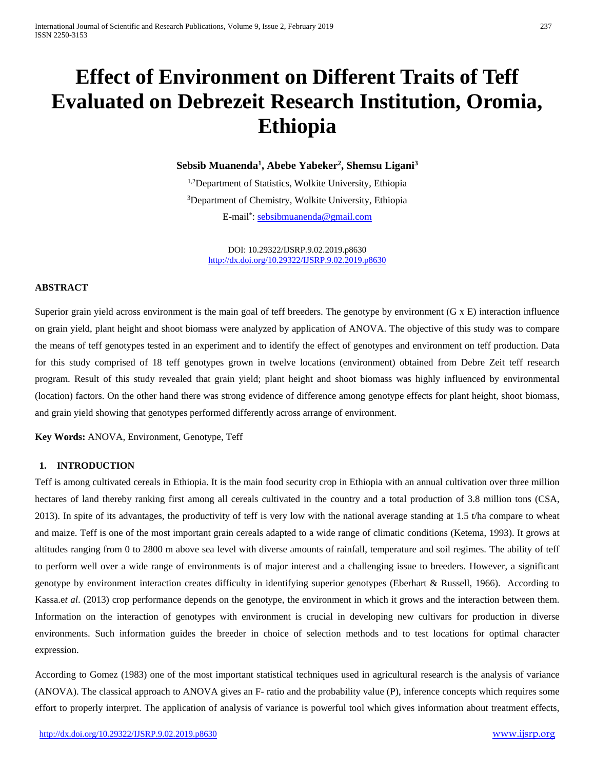# **Effect of Environment on Different Traits of Teff Evaluated on Debrezeit Research Institution, Oromia, Ethiopia**

# **Sebsib Muanenda1 , Abebe Yabeker2 , Shemsu Ligani3**

1,2Department of Statistics, Wolkite University, Ethiopia 3 Department of Chemistry, Wolkite University, Ethiopia E-mail<sup>\*</sup>: <u>sebsibmuanenda@gmail.com</u>

> DOI: 10.29322/IJSRP.9.02.2019.p8630 <http://dx.doi.org/10.29322/IJSRP.9.02.2019.p8630>

# **ABSTRACT**

Superior grain yield across environment is the main goal of teff breeders. The genotype by environment (G x E) interaction influence on grain yield, plant height and shoot biomass were analyzed by application of ANOVA. The objective of this study was to compare the means of teff genotypes tested in an experiment and to identify the effect of genotypes and environment on teff production. Data for this study comprised of 18 teff genotypes grown in twelve locations (environment) obtained from Debre Zeit teff research program. Result of this study revealed that grain yield; plant height and shoot biomass was highly influenced by environmental (location) factors. On the other hand there was strong evidence of difference among genotype effects for plant height, shoot biomass, and grain yield showing that genotypes performed differently across arrange of environment.

**Key Words:** ANOVA, Environment, Genotype, Teff

# **1. INTRODUCTION**

Teff is among cultivated cereals in Ethiopia. It is the main food security crop in Ethiopia with an annual cultivation over three million hectares of land thereby ranking first among all cereals cultivated in the country and a total production of 3.8 million tons (CSA, 2013). In spite of its advantages, the productivity of teff is very low with the national average standing at 1.5 t/ha compare to wheat and maize. Teff is one of the most important grain cereals adapted to a wide range of climatic conditions (Ketema, 1993). It grows at altitudes ranging from 0 to 2800 m above sea level with diverse amounts of rainfall, temperature and soil regimes. The ability of teff to perform well over a wide range of environments is of major interest and a challenging issue to breeders. However, a significant genotype by environment interaction creates difficulty in identifying superior genotypes (Eberhart & Russell, 1966). According to Kassa.e*t al*. (2013) crop performance depends on the genotype, the environment in which it grows and the interaction between them. Information on the interaction of genotypes with environment is crucial in developing new cultivars for production in diverse environments. Such information guides the breeder in choice of selection methods and to test locations for optimal character expression.

According to Gomez (1983) one of the most important statistical techniques used in agricultural research is the analysis of variance (ANOVA). The classical approach to ANOVA gives an F- ratio and the probability value (P), inference concepts which requires some effort to properly interpret. The application of analysis of variance is powerful tool which gives information about treatment effects,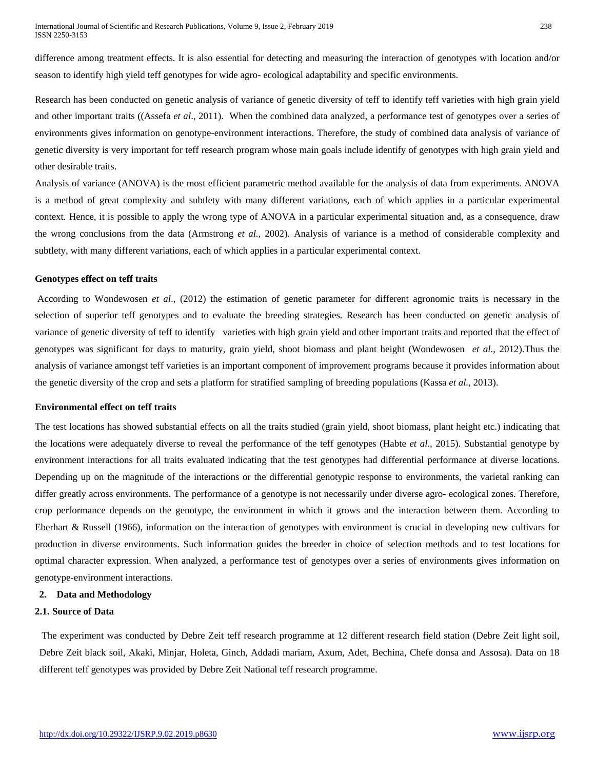difference among treatment effects. It is also essential for detecting and measuring the interaction of genotypes with location and/or season to identify high yield teff genotypes for wide agro- ecological adaptability and specific environments.

Research has been conducted on genetic analysis of variance of genetic diversity of teff to identify teff varieties with high grain yield and other important traits ((Assefa *et al*., 2011). When the combined data analyzed, a performance test of genotypes over a series of environments gives information on genotype-environment interactions. Therefore, the study of combined data analysis of variance of genetic diversity is very important for teff research program whose main goals include identify of genotypes with high grain yield and other desirable traits.

Analysis of variance (ANOVA) is the most efficient parametric method available for the analysis of data from experiments. ANOVA is a method of great complexity and subtlety with many different variations, each of which applies in a particular experimental context. Hence, it is possible to apply the wrong type of ANOVA in a particular experimental situation and, as a consequence, draw the wrong conclusions from the data (Armstrong *et al.,* 2002). Analysis of variance is a method of considerable complexity and subtlety, with many different variations, each of which applies in a particular experimental context.

#### **Genotypes effect on teff traits**

According to Wondewosen *et al*., (2012) the estimation of genetic parameter for different agronomic traits is necessary in the selection of superior teff genotypes and to evaluate the breeding strategies. Research has been conducted on genetic analysis of variance of genetic diversity of teff to identify varieties with high grain yield and other important traits and reported that the effect of genotypes was significant for days to maturity, grain yield, shoot biomass and plant height (Wondewosen *et al*., 2012).Thus the analysis of variance amongst teff varieties is an important component of improvement programs because it provides information about the genetic diversity of the crop and sets a platform for stratified sampling of breeding populations (Kassa *et al.*, 2013).

#### **Environmental effect on teff traits**

The test locations has showed substantial effects on all the traits studied (grain yield, shoot biomass, plant height etc.) indicating that the locations were adequately diverse to reveal the performance of the teff genotypes (Habte *et al*., 2015). Substantial genotype by environment interactions for all traits evaluated indicating that the test genotypes had differential performance at diverse locations. Depending up on the magnitude of the interactions or the differential genotypic response to environments, the varietal ranking can differ greatly across environments. The performance of a genotype is not necessarily under diverse agro- ecological zones. Therefore, crop performance depends on the genotype, the environment in which it grows and the interaction between them. According to Eberhart & Russell (1966), information on the interaction of genotypes with environment is crucial in developing new cultivars for production in diverse environments. Such information guides the breeder in choice of selection methods and to test locations for optimal character expression. When analyzed, a performance test of genotypes over a series of environments gives information on genotype-environment interactions.

## **2. Data and Methodology**

#### **2.1. Source of Data**

The experiment was conducted by Debre Zeit teff research programme at 12 different research field station (Debre Zeit light soil, Debre Zeit black soil, Akaki, Minjar, Holeta, Ginch, Addadi mariam, Axum, Adet, Bechina, Chefe donsa and Assosa). Data on 18 different teff genotypes was provided by Debre Zeit National teff research programme.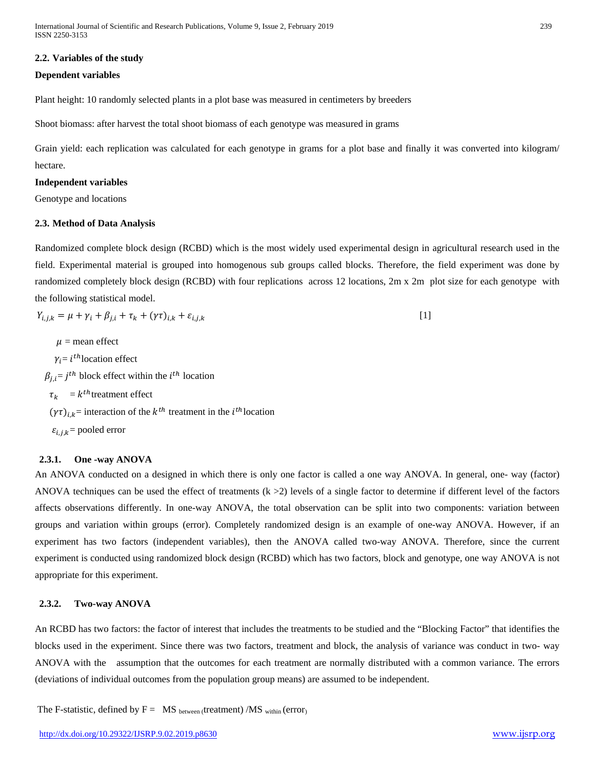# **2.2. Variables of the study**

## **Dependent variables**

Plant height: 10 randomly selected plants in a plot base was measured in centimeters by breeders

Shoot biomass: after harvest the total shoot biomass of each genotype was measured in grams

Grain yield: each replication was calculated for each genotype in grams for a plot base and finally it was converted into kilogram/ hectare.

## **Independent variables**

Genotype and locations

#### **2.3. Method of Data Analysis**

Randomized complete block design (RCBD) which is the most widely used experimental design in agricultural research used in the field. Experimental material is grouped into homogenous sub groups called blocks. Therefore, the field experiment was done by randomized completely block design (RCBD) with four replications across 12 locations, 2m x 2m plot size for each genotype with the following statistical model.

$$
Y_{i,j,k} = \mu + \gamma_i + \beta_{j,i} + \tau_k + (\gamma \tau)_{i,k} + \varepsilon_{i,j,k}
$$
\n
$$
[1]
$$

 $\mu$  = mean effect  $\gamma_i = i^{th}$ location effect  $\beta_{j,i} = j^{th}$  block effect within the  $i^{th}$  location  $\tau_k = k^{th}$ treatment effect  $(\gamma \tau)_{i,k}$  = interaction of the  $k^{th}$  treatment in the  $i^{th}$  location  $\varepsilon_{i,j,k}$  = pooled error

# **2.3.1. One -way ANOVA**

An ANOVA conducted on a designed in which there is only one factor is called a one way ANOVA. In general, one- way (factor) ANOVA techniques can be used the effect of treatments  $(k > 2)$  levels of a single factor to determine if different level of the factors affects observations differently. In one-way ANOVA, the total observation can be split into two components: variation between groups and variation within groups (error). Completely randomized design is an example of one-way ANOVA. However, if an experiment has two factors (independent variables), then the ANOVA called two-way ANOVA. Therefore, since the current experiment is conducted using randomized block design (RCBD) which has two factors, block and genotype, one way ANOVA is not appropriate for this experiment.

## **2.3.2. Two-way ANOVA**

An RCBD has two factors: the factor of interest that includes the treatments to be studied and the "Blocking Factor" that identifies the blocks used in the experiment. Since there was two factors, treatment and block, the analysis of variance was conduct in two- way ANOVA with the assumption that the outcomes for each treatment are normally distributed with a common variance. The errors (deviations of individual outcomes from the population group means) are assumed to be independent.

The F-statistic, defined by  $F = MS$  between (treatment) /MS within (error)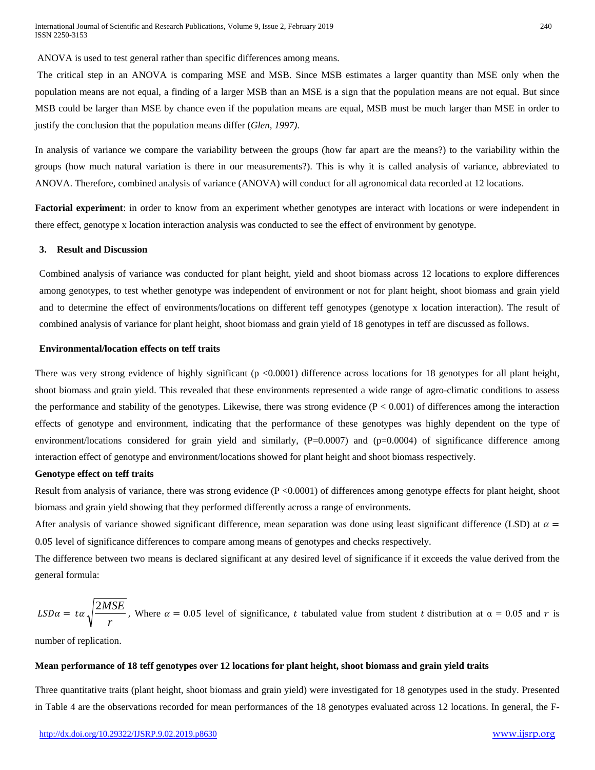ANOVA is used to test general rather than specific differences among means.

The critical step in an ANOVA is comparing MSE and MSB. Since MSB estimates a larger quantity than MSE only when the population means are not equal, a finding of a larger MSB than an MSE is a sign that the population means are not equal. But since MSB could be larger than MSE by chance even if the population means are equal, MSB must be much larger than MSE in order to justify the conclusion that the population means differ (*Glen, 1997)*.

In analysis of variance we compare the variability between the groups (how far apart are the means?) to the variability within the groups (how much natural variation is there in our measurements?). This is why it is called analysis of variance, abbreviated to ANOVA. Therefore, combined analysis of variance (ANOVA) will conduct for all agronomical data recorded at 12 locations.

**Factorial experiment**: in order to know from an experiment whether genotypes are interact with locations or were independent in there effect, genotype x location interaction analysis was conducted to see the effect of environment by genotype.

#### **3. Result and Discussion**

Combined analysis of variance was conducted for plant height, yield and shoot biomass across 12 locations to explore differences among genotypes, to test whether genotype was independent of environment or not for plant height, shoot biomass and grain yield and to determine the effect of environments/locations on different teff genotypes (genotype x location interaction). The result of combined analysis of variance for plant height, shoot biomass and grain yield of 18 genotypes in teff are discussed as follows.

#### **Environmental/location effects on teff traits**

There was very strong evidence of highly significant  $(p \le 0.0001)$  difference across locations for 18 genotypes for all plant height, shoot biomass and grain yield. This revealed that these environments represented a wide range of agro-climatic conditions to assess the performance and stability of the genotypes. Likewise, there was strong evidence  $(P < 0.001)$  of differences among the interaction effects of genotype and environment, indicating that the performance of these genotypes was highly dependent on the type of environment/locations considered for grain yield and similarly,  $(P=0.0007)$  and  $(p=0.0004)$  of significance difference among interaction effect of genotype and environment/locations showed for plant height and shoot biomass respectively.

#### **Genotype effect on teff traits**

Result from analysis of variance, there was strong evidence (P <0.0001) of differences among genotype effects for plant height, shoot biomass and grain yield showing that they performed differently across a range of environments.

After analysis of variance showed significant difference, mean separation was done using least significant difference (LSD) at  $\alpha$  = 0.05 level of significance differences to compare among means of genotypes and checks respectively.

The difference between two means is declared significant at any desired level of significance if it exceeds the value derived from the general formula:

$$
LSD\alpha = t\alpha \sqrt{\frac{2MSE}{r}}
$$
, Where  $\alpha = 0.05$  level of significance, t tabulated value from student t distribution at  $\alpha = 0.05$  and r is

number of replication.

#### **Mean performance of 18 teff genotypes over 12 locations for plant height, shoot biomass and grain yield traits**

Three quantitative traits (plant height, shoot biomass and grain yield) were investigated for 18 genotypes used in the study. Presented in Table 4 are the observations recorded for mean performances of the 18 genotypes evaluated across 12 locations. In general, the F-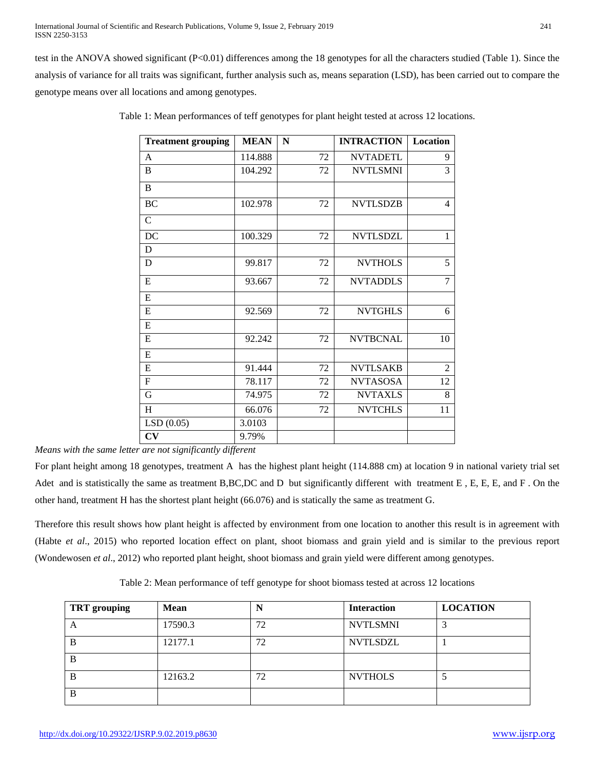test in the ANOVA showed significant (P<0.01) differences among the 18 genotypes for all the characters studied (Table 1). Since the analysis of variance for all traits was significant, further analysis such as, means separation (LSD), has been carried out to compare the genotype means over all locations and among genotypes.

| <b>Treatment grouping</b> | <b>MEAN</b> | N  | <b>INTRACTION</b> | Location       |
|---------------------------|-------------|----|-------------------|----------------|
| A                         | 114.888     | 72 | <b>NVTADETL</b>   | 9              |
| B                         | 104.292     | 72 | <b>NVTLSMNI</b>   | 3              |
| B                         |             |    |                   |                |
| <b>BC</b>                 | 102.978     | 72 | <b>NVTLSDZB</b>   | $\overline{4}$ |
| $\mathsf{C}$              |             |    |                   |                |
| DC                        | 100.329     | 72 | <b>NVTLSDZL</b>   | $\mathbf{1}$   |
| D                         |             |    |                   |                |
| D                         | 99.817      | 72 | <b>NVTHOLS</b>    | 5              |
| E                         | 93.667      | 72 | <b>NVTADDLS</b>   | $\overline{7}$ |
| E                         |             |    |                   |                |
| ${\bf E}$                 | 92.569      | 72 | <b>NVTGHLS</b>    | 6              |
| ${\bf E}$                 |             |    |                   |                |
| E                         | 92.242      | 72 | <b>NVTBCNAL</b>   | 10             |
| ${\bf E}$                 |             |    |                   |                |
| E                         | 91.444      | 72 | <b>NVTLSAKB</b>   | $\overline{2}$ |
| ${\bf F}$                 | 78.117      | 72 | <b>NVTASOSA</b>   | 12             |
| G                         | 74.975      | 72 | <b>NVTAXLS</b>    | 8              |
| H                         | 66.076      | 72 | <b>NVTCHLS</b>    | 11             |
| LSD(0.05)                 | 3.0103      |    |                   |                |
| CV                        | 9.79%       |    |                   |                |

Table 1: Mean performances of teff genotypes for plant height tested at across 12 locations.

*Means with the same letter are not significantly different*

For plant height among 18 genotypes, treatment A has the highest plant height (114.888 cm) at location 9 in national variety trial set Adet and is statistically the same as treatment B,BC,DC and D but significantly different with treatment E, E, E, E, and F. On the other hand, treatment H has the shortest plant height (66.076) and is statically the same as treatment G.

Therefore this result shows how plant height is affected by environment from one location to another this result is in agreement with (Habte *et al*., 2015) who reported location effect on plant, shoot biomass and grain yield and is similar to the previous report (Wondewosen *et al*., 2012) who reported plant height, shoot biomass and grain yield were different among genotypes.

Table 2: Mean performance of teff genotype for shoot biomass tested at across 12 locations

| <b>TRT</b> grouping | <b>Mean</b> | N  | <b>Interaction</b> | <b>LOCATION</b> |
|---------------------|-------------|----|--------------------|-----------------|
| A                   | 17590.3     | 72 | <b>NVTLSMNI</b>    |                 |
| B                   | 12177.1     | 72 | <b>NVTLSDZL</b>    |                 |
| B                   |             |    |                    |                 |
| B                   | 12163.2     | 72 | <b>NVTHOLS</b>     |                 |
| B                   |             |    |                    |                 |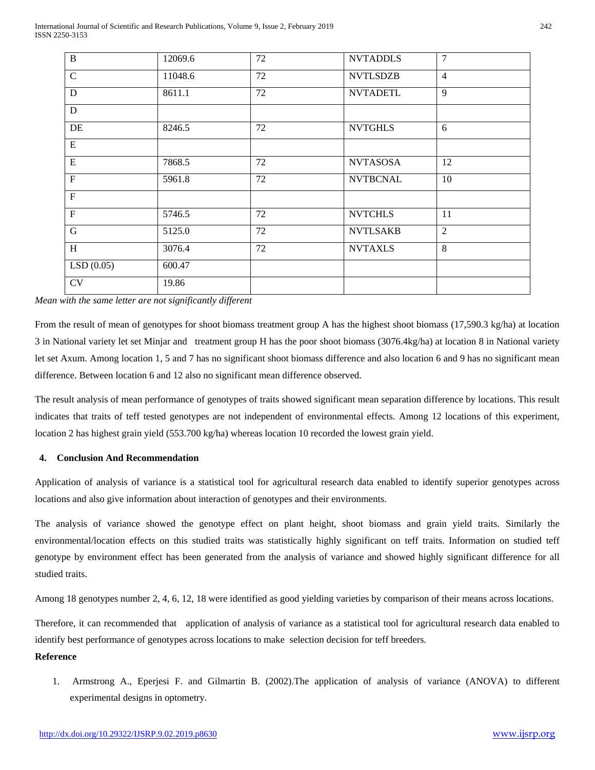International Journal of Scientific and Research Publications, Volume 9, Issue 2, February 2019 242 ISSN 2250-3153

| $\bf{B}$     | 12069.6 | 72 | <b>NVTADDLS</b> | 7              |
|--------------|---------|----|-----------------|----------------|
| $\mathbf C$  | 11048.6 | 72 | <b>NVTLSDZB</b> | $\overline{4}$ |
| D            | 8611.1  | 72 | <b>NVTADETL</b> | 9              |
| D            |         |    |                 |                |
| DE           | 8246.5  | 72 | <b>NVTGHLS</b>  | 6              |
| ${\bf E}$    |         |    |                 |                |
| ${\bf E}$    | 7868.5  | 72 | <b>NVTASOSA</b> | 12             |
| $\mathbf F$  | 5961.8  | 72 | <b>NVTBCNAL</b> | 10             |
| $\mathbf F$  |         |    |                 |                |
| $\mathbf F$  | 5746.5  | 72 | <b>NVTCHLS</b>  | 11             |
| $\mathbf G$  | 5125.0  | 72 | <b>NVTLSAKB</b> | $\overline{2}$ |
| $\, {\rm H}$ | 3076.4  | 72 | <b>NVTAXLS</b>  | 8              |
| LSD(0.05)    | 600.47  |    |                 |                |
| <b>CV</b>    | 19.86   |    |                 |                |
|              |         |    |                 |                |

*Mean with the same letter are not significantly different* 

From the result of mean of genotypes for shoot biomass treatment group A has the highest shoot biomass (17,590.3 kg/ha) at location 3 in National variety let set Minjar and treatment group H has the poor shoot biomass (3076.4kg/ha) at location 8 in National variety let set Axum. Among location 1, 5 and 7 has no significant shoot biomass difference and also location 6 and 9 has no significant mean difference. Between location 6 and 12 also no significant mean difference observed.

The result analysis of mean performance of genotypes of traits showed significant mean separation difference by locations. This result indicates that traits of teff tested genotypes are not independent of environmental effects. Among 12 locations of this experiment, location 2 has highest grain yield (553.700 kg/ha) whereas location 10 recorded the lowest grain yield.

## **4. Conclusion And Recommendation**

Application of analysis of variance is a statistical tool for agricultural research data enabled to identify superior genotypes across locations and also give information about interaction of genotypes and their environments.

The analysis of variance showed the genotype effect on plant height, shoot biomass and grain yield traits. Similarly the environmental/location effects on this studied traits was statistically highly significant on teff traits. Information on studied teff genotype by environment effect has been generated from the analysis of variance and showed highly significant difference for all studied traits.

Among 18 genotypes number 2, 4, 6, 12, 18 were identified as good yielding varieties by comparison of their means across locations.

Therefore, it can recommended that application of analysis of variance as a statistical tool for agricultural research data enabled to identify best performance of genotypes across locations to make selection decision for teff breeders.

# **Reference**

1. Armstrong A., Eperjesi F. and Gilmartin B. (2002).The application of analysis of variance (ANOVA) to different experimental designs in optometry.